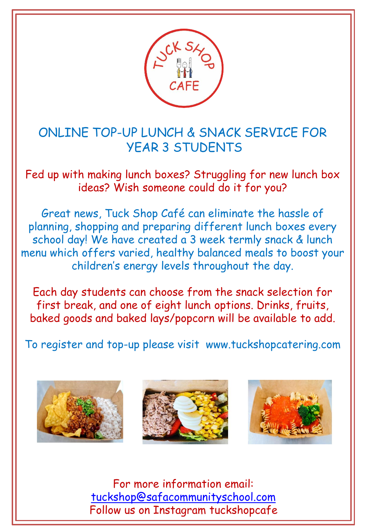

ONLINE TOP-UP LUNCH & SNACK SERVICE FOR YEAR 3 STUDENTS

Fed up with making lunch boxes? Struggling for new lunch box ideas? Wish someone could do it for you?

- children's energy levels throughout the day. Great news, Tuck Shop Café can eliminate the hassle of planning, shopping and preparing different lunch boxes every school day! We have created a 3 week termly snack & lunch menu which offers varied, healthy balanced meals to boost your

Each day students can choose from the snack selection for first break, and one of eight lunch options. Drinks, fruits, baked goods and baked lays/popcorn will be available to add.

To register and top-up please visit www.tuckshopcatering.com







For more information email: [tuckshop@safacommunityschool.com](mailto:tuckshop@safacommunityschool.com) Follow us on Instagram tuckshopcafe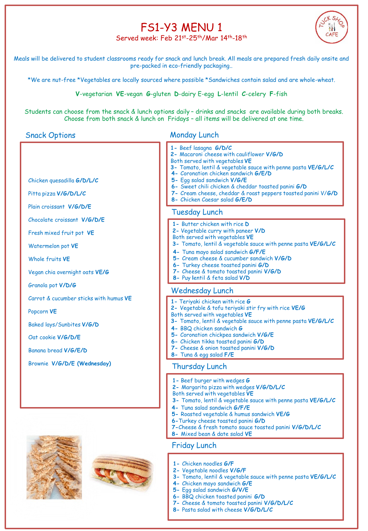## FS1-Y3 MENU 1



Served week: Feb 21st-25th/Mar 14th-18th

Meals will be delivered to student classrooms ready for snack and lunch break. All meals are prepared fresh daily onsite and pre-packed in eco-friendly packaging..

\*We are nut-free \*Vegetables are locally sourced where possible \*Sandwiches contain salad and are whole-wheat.

**V**-vegetarian **VE**-vegan **G**-gluten **D**-dairy E-egg **L**-lentil **C**-celery **F**-fish

Students can choose from the snack & lunch options daily – drinks and snacks are available during both breaks. Choose from both snack & lunch on Fridays – all items will be delivered at one time.

## Snack Options

## Monday Lunch

| Chicken quesadilla G/D/L/C<br>Pitta pizza V/G/D/L/C | 1- Beef lasagna G/D/C<br>2- Macaroni cheese with cauliflower V/G/D<br>Both served with vegetables VE<br>3- Tomato, lentil & vegetable sauce with penne pasta VE/G/L/C<br>4- Coronation chicken sandwich G/E/D<br>5- Egg salad sandwich V/G/E<br>6- Sweet chili chicken & cheddar toasted panini G/D<br>7- Cream cheese, cheddar & roast peppers toasted panini V/G/D<br>8- Chicken Caesar salad G/E/D |
|-----------------------------------------------------|-------------------------------------------------------------------------------------------------------------------------------------------------------------------------------------------------------------------------------------------------------------------------------------------------------------------------------------------------------------------------------------------------------|
| Plain croissant V/G/D/E                             | <b>Tuesday Lunch</b>                                                                                                                                                                                                                                                                                                                                                                                  |
| Chocolate croissant V/G/D/E                         | 1- Butter chicken with rice D                                                                                                                                                                                                                                                                                                                                                                         |
| Fresh mixed fruit pot VE                            | 2- Vegetable curry with paneer V/D<br>Both served with vegetables VE                                                                                                                                                                                                                                                                                                                                  |
| Watermelon pot VE                                   | 3- Tomato, lentil & vegetable sauce with penne pasta VE/G/L/C<br>4- Tuna mayo salad sandwich G/F/E                                                                                                                                                                                                                                                                                                    |
| Whole fruits VE                                     | 5- Cream cheese & cucumber sandwich V/G/D<br>6- Turkey cheese toasted panini G/D                                                                                                                                                                                                                                                                                                                      |
| Vegan chia overnight oats VE/G                      | 7- Cheese & tomato toasted panini V/G/D<br>8- Puy lentil & feta salad V/D                                                                                                                                                                                                                                                                                                                             |
| Granola pot V/D/G                                   | <b>Wednesday Lunch</b>                                                                                                                                                                                                                                                                                                                                                                                |
| Carrot & cucumber sticks with humus VE              | 1- Teriyaki chicken with rice G                                                                                                                                                                                                                                                                                                                                                                       |
| Popcorn VE                                          | 2- Vegetable & tofu teriyaki stir fry with rice VE/G<br>Both served with vegetables VE                                                                                                                                                                                                                                                                                                                |
| Baked lays/Sunbites V/G/D                           | 3- Tomato, lentil & vegetable sauce with penne pasta VE/G/L/C<br>4- BBQ chicken sandwich G                                                                                                                                                                                                                                                                                                            |
| Oat cookie V/G/D/E                                  | 5- Coronation chickpea sandwich V/G/E<br>6- Chicken tikka toasted panini G/D                                                                                                                                                                                                                                                                                                                          |
| Banana bread V/G/E/D                                | 7- Cheese & onion toasted panini V/G/D<br>8- Tuna & egg salad F/E                                                                                                                                                                                                                                                                                                                                     |
| Brownie V/G/D/E (Wednesday)                         | Thursday Lunch                                                                                                                                                                                                                                                                                                                                                                                        |
|                                                     | 1 - Beef burger with wedges G<br>2- Margarita pizza with wedges V/G/D/L/C<br>Both served with vegetables VE<br>3- Tomato, lentil & vegetable sauce with penne pasta VE/G/L/C<br>4- Tuna salad sandwich G/F/E<br>$1.21$ Mm $10$                                                                                                                                                                        |

- **5-** Roasted vegetable & humus sandwich **VE/G**
- **6-**Turkey cheese toasted panini **G/D**
- **7-**Cheese & fresh tomato sauce toasted panini **V/G/D/L/C**
- **8-** Mixed bean & date salad **VE**

## Friday Lunch

- **1-** Chicken noodles **G/F**
- **2-** Vegetable noodles **V/G/F**
- **3-** Tomato, lentil & vegetable sauce with penne pasta **VE/G/L/C**
- **4-** Chicken mayo sandwich **G/E**
- **5-** Egg salad sandwich **G/V/E**
- **6-** BBQ chicken toasted panini **G/D**
- **7-** Cheese & tomato toasted panini **V/G/D/L/C**
- **8-** Pasta salad with cheese **V/G/D/L/C**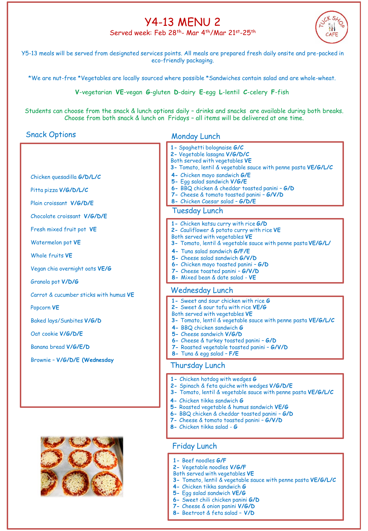## Y4-13 MENU 2 Served week: Feb 28th- Mar 4th/Mar 21st-25th



Y5-13 meals will be served from designated services points. All meals are prepared fresh daily onsite and pre-packed in eco-friendly packaging.

\*We are nut-free \*Vegetables are locally sourced where possible \*Sandwiches contain salad and are whole-wheat.

**V**-vegetarian **VE**-vegan **G**-gluten **D**-dairy **E**-egg **L**-lentil **C**-celery **F**-fish

Students can choose from the snack & lunch options daily – drinks and snacks are available during both breaks. Choose from both snack & lunch on Fridays – all items will be delivered at one time.

#### Snack Options

Monday Lunch

|                                        | 1- Spaghetti bolognaise G/C<br>2- Vegetable lasagna V/G/D/C<br>Both served with vegetables VE<br>3- Tomato, lentil & vegetable sauce with penne pasta VE/G/L/C |
|----------------------------------------|----------------------------------------------------------------------------------------------------------------------------------------------------------------|
| Chicken quesadilla G/D/L/C             | 4- Chicken mayo sandwich G/E<br>5- Egg salad sandwich V/G/E                                                                                                    |
| Pitta pizza V/G/D/L/C                  | 6- BBQ chicken & cheddar toasted panini - G/D<br>7- Cheese & tomato toasted panini - G/V/D                                                                     |
| Plain croissant V/G/D/E                | 8- Chicken Caesar salad - G/D/E                                                                                                                                |
| Chocolate croissant V/G/D/E            | <b>Tuesday Lunch</b>                                                                                                                                           |
| Fresh mixed fruit pot VE               | 1- Chicken katsu curry with rice G/D<br>2- Cauliflower & potato curry with rice VE<br>Both served with vegetables VE                                           |
| Watermelon pot VE                      | 3- Tomato, lentil & vegetable sauce with penne pasta VE/G/L/                                                                                                   |
| Whole fruits VE                        | 4- Tung salad sandwich G/F/E<br>5- Cheese salad sandwich G/V/D                                                                                                 |
| Vegan chia overnight oats VE/G         | 6- Chicken mayo toasted panini - G/D<br>7- Cheese toasted panini - G/V/D<br>8- Mixed bean & date salad - VE                                                    |
| Granola pot V/D/G                      |                                                                                                                                                                |
| Carrot & cucumber sticks with humus VE | Wednesday Lunch                                                                                                                                                |
| Popcorn VE                             | 1 - Sweet and sour chicken with rice G<br>2- Sweet & sour tofu with rice VE/G<br>Both served with vegetables VE                                                |
| Baked lays/Sunbites V/G/D              | 3- Tomato, lentil & vegetable sauce with penne pasta VE/G/L/C                                                                                                  |
| Oat cookie V/G/D/E                     | 4- BBQ chicken sandwich G<br>5- Cheese sandwich V/G/D<br>6- Cheese & turkey toasted panini - G/D                                                               |
| Banana bread V/G/E/D                   | 7- Roasted vegetable toasted panini - G/V/D                                                                                                                    |
| Brownie - V/G/D/E (Wednesday           | 8- Tuna & egg salad - F/E<br><b>Thursday Lunch</b>                                                                                                             |
|                                        | 1- Chicken hotdog with wedges G<br>2- Spinach & feta quiche with wedges V/G/D/E                                                                                |



### Friday Lunch

- **1-** Beef noodles **G/F**
- **2-** Vegetable noodles **V/G/F**

**4-** Chicken tikka sandwich **G**

**8-** Chicken tikka salad - **G**

**5-** Roasted vegetable & humus sandwich **VE/G 6-** BBQ chicken & cheddar toasted panini – **G/D 7-** Cheese & tomato toasted panini – **G/V/D**

- Both served with vegetables **VE**
- **3-** Tomato, lentil & vegetable sauce with penne pasta **VE/G/L/C**

**3-** Tomato, lentil & vegetable sauce with penne pasta **VE/G/L/C**

- **4-** Chicken tikka sandwich **G**
- **5-** Egg salad sandwich **VE/G**
- **6-** Sweet chili chicken panini **G/D**
- **7-** Cheese & onion panini **V/G/D 8-** Beetroot & feta salad – **V/D**